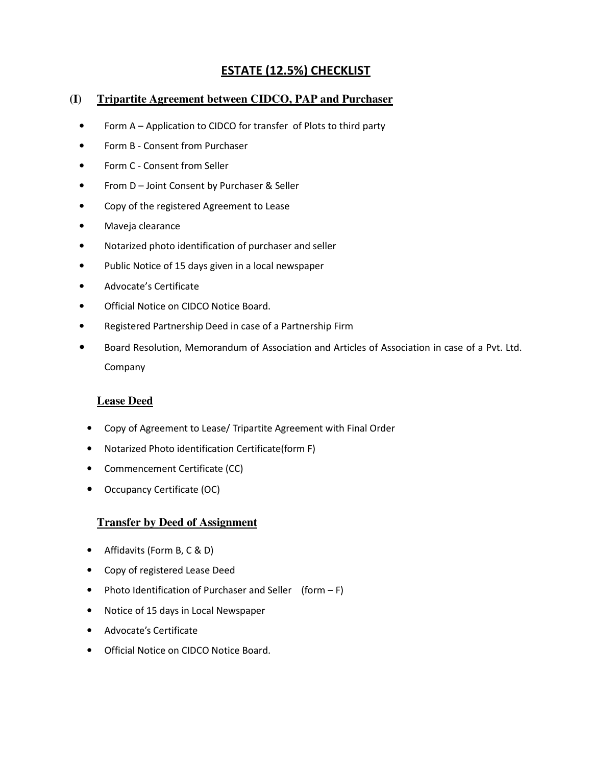# **ESTATE (12.5%) CHECKLIST**

## **(I) Tripartite Agreement between CIDCO, PAP and Purchaser**

- Form A Application to CIDCO for transfer of Plots to third party
- Form B Consent from Purchaser
- Form C Consent from Seller
- From D Joint Consent by Purchaser & Seller
- Copy of the registered Agreement to Lease
- Maveja clearance
- Notarized photo identification of purchaser and seller
- Public Notice of 15 days given in a local newspaper
- Advocate's Certificate
- Official Notice on CIDCO Notice Board.
- Registered Partnership Deed in case of a Partnership Firm
- Board Resolution, Memorandum of Association and Articles of Association in case of a Pvt. Ltd. Company

#### **Lease Deed**

- Copy of Agreement to Lease/ Tripartite Agreement with Final Order
- Notarized Photo identification Certificate(form F)
- Commencement Certificate (CC)
- Occupancy Certificate (OC)

#### **Transfer by Deed of Assignment**

- Affidavits (Form B, C & D)
- Copy of registered Lease Deed
- Photo Identification of Purchaser and Seller (form F)
- Notice of 15 days in Local Newspaper
- Advocate's Certificate
- Official Notice on CIDCO Notice Board.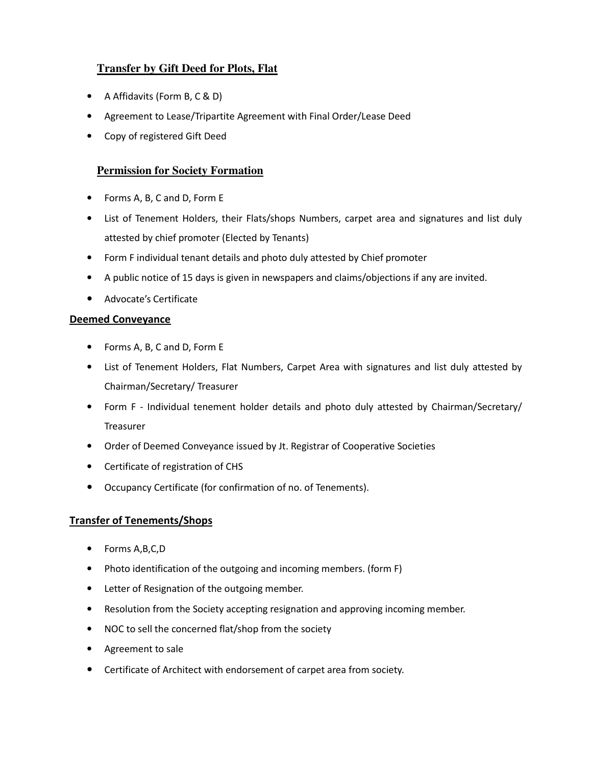## **Transfer by Gift Deed for Plots, Flat**

- A Affidavits (Form B, C & D)
- Agreement to Lease/Tripartite Agreement with Final Order/Lease Deed
- Copy of registered Gift Deed

## **Permission for Society Formation**

- Forms A, B, C and D, Form E
- List of Tenement Holders, their Flats/shops Numbers, carpet area and signatures and list duly attested by chief promoter (Elected by Tenants)
- Form F individual tenant details and photo duly attested by Chief promoter
- A public notice of 15 days is given in newspapers and claims/objections if any are invited.
- Advocate's Certificate

#### **Deemed Conveyance**

- Forms A, B, C and D, Form E
- List of Tenement Holders, Flat Numbers, Carpet Area with signatures and list duly attested by Chairman/Secretary/ Treasurer
- Form F Individual tenement holder details and photo duly attested by Chairman/Secretary/ Treasurer
- Order of Deemed Conveyance issued by Jt. Registrar of Cooperative Societies
- Certificate of registration of CHS
- Occupancy Certificate (for confirmation of no. of Tenements).

#### **Transfer of Tenements/Shops**

- Forms A,B,C,D
- Photo identification of the outgoing and incoming members. (form F)
- Letter of Resignation of the outgoing member.
- Resolution from the Society accepting resignation and approving incoming member.
- NOC to sell the concerned flat/shop from the society
- Agreement to sale
- Certificate of Architect with endorsement of carpet area from society.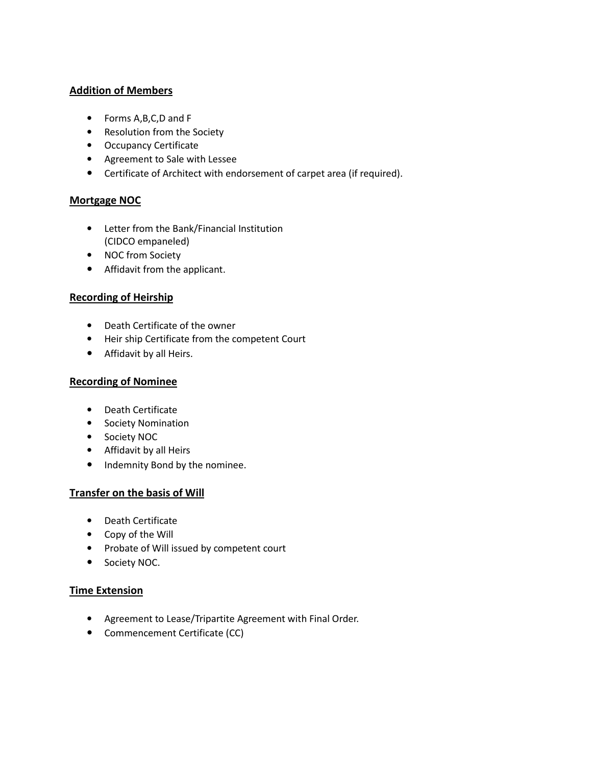#### **Addition of Members**

- Forms A,B,C,D and F
- Resolution from the Society
- Occupancy Certificate
- Agreement to Sale with Lessee
- Certificate of Architect with endorsement of carpet area (if required).

#### **Mortgage NOC**

- Letter from the Bank/Financial Institution (CIDCO empaneled)
- NOC from Society
- Affidavit from the applicant.

#### **Recording of Heirship**

- Death Certificate of the owner
- Heir ship Certificate from the competent Court
- Affidavit by all Heirs.

#### **Recording of Nominee**

- Death Certificate
- Society Nomination
- Society NOC
- Affidavit by all Heirs
- Indemnity Bond by the nominee.

#### **Transfer on the basis of Will**

- Death Certificate
- Copy of the Will
- Probate of Will issued by competent court
- Society NOC.

#### **Time Extension**

- Agreement to Lease/Tripartite Agreement with Final Order.
- Commencement Certificate (CC)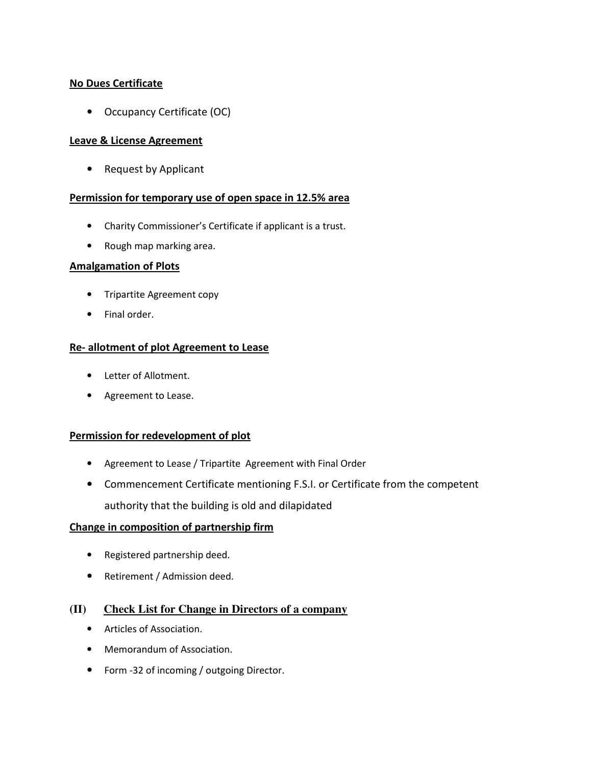#### **No Dues Certificate**

• Occupancy Certificate (OC)

#### **Leave & License Agreement**

• Request by Applicant

#### **Permission for temporary use of open space in 12.5% area**

- Charity Commissioner's Certificate if applicant is a trust.
- Rough map marking area.

#### **Amalgamation of Plots**

- Tripartite Agreement copy
- Final order.

#### **Re- allotment of plot Agreement to Lease**

- Letter of Allotment.
- Agreement to Lease.

#### **Permission for redevelopment of plot**

- Agreement to Lease / Tripartite Agreement with Final Order
- Commencement Certificate mentioning F.S.I. or Certificate from the competent authority that the building is old and dilapidated

#### **Change in composition of partnership firm**

- Registered partnership deed.
- Retirement / Admission deed.

#### **(II) Check List for Change in Directors of a company**

- Articles of Association.
- Memorandum of Association.
- Form -32 of incoming / outgoing Director.